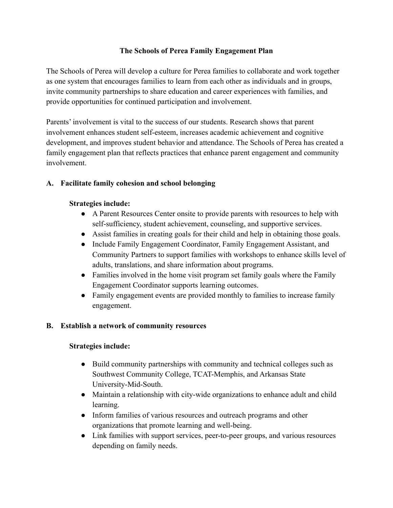#### **The Schools of Perea Family Engagement Plan**

The Schools of Perea will develop a culture for Perea families to collaborate and work together as one system that encourages families to learn from each other as individuals and in groups, invite community partnerships to share education and career experiences with families, and provide opportunities for continued participation and involvement.

Parents' involvement is vital to the success of our students. Research shows that parent involvement enhances student self-esteem, increases academic achievement and cognitive development, and improves student behavior and attendance. The Schools of Perea has created a family engagement plan that reflects practices that enhance parent engagement and community involvement.

## **A. Facilitate family cohesion and school belonging**

### **Strategies include:**

- A Parent Resources Center onsite to provide parents with resources to help with self-sufficiency, student achievement, counseling, and supportive services.
- Assist families in creating goals for their child and help in obtaining those goals.
- Include Family Engagement Coordinator, Family Engagement Assistant, and Community Partners to support families with workshops to enhance skills level of adults, translations, and share information about programs.
- Families involved in the home visit program set family goals where the Family Engagement Coordinator supports learning outcomes.
- Family engagement events are provided monthly to families to increase family engagement.

## **B. Establish a network of community resources**

#### **Strategies include:**

- Build community partnerships with community and technical colleges such as Southwest Community College, TCAT-Memphis, and Arkansas State University-Mid-South.
- Maintain a relationship with city-wide organizations to enhance adult and child learning.
- Inform families of various resources and outreach programs and other organizations that promote learning and well-being.
- Link families with support services, peer-to-peer groups, and various resources depending on family needs.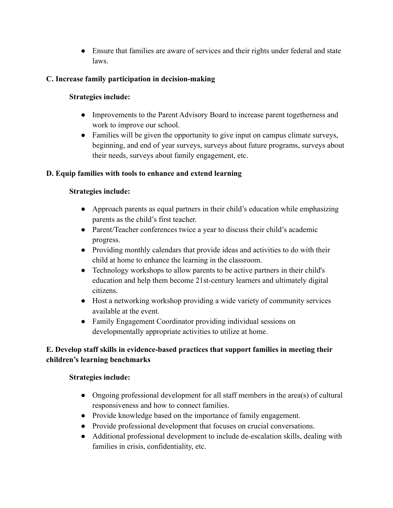● Ensure that families are aware of services and their rights under federal and state laws.

## **C. Increase family participation in decision-making**

### **Strategies include:**

- Improvements to the Parent Advisory Board to increase parent togetherness and work to improve our school.
- Families will be given the opportunity to give input on campus climate surveys, beginning, and end of year surveys, surveys about future programs, surveys about their needs, surveys about family engagement, etc.

### **D. Equip families with tools to enhance and extend learning**

#### **Strategies include:**

- Approach parents as equal partners in their child's education while emphasizing parents as the child's first teacher.
- Parent/Teacher conferences twice a year to discuss their child's academic progress.
- Providing monthly calendars that provide ideas and activities to do with their child at home to enhance the learning in the classroom.
- Technology workshops to allow parents to be active partners in their child's education and help them become 21st-century learners and ultimately digital citizens.
- Host a networking workshop providing a wide variety of community services available at the event.
- Family Engagement Coordinator providing individual sessions on developmentally appropriate activities to utilize at home.

# **E. Develop staff skills in evidence-based practices that support families in meeting their children's learning benchmarks**

#### **Strategies include:**

- Ongoing professional development for all staff members in the area(s) of cultural responsiveness and how to connect families.
- Provide knowledge based on the importance of family engagement.
- Provide professional development that focuses on crucial conversations.
- Additional professional development to include de-escalation skills, dealing with families in crisis, confidentiality, etc.